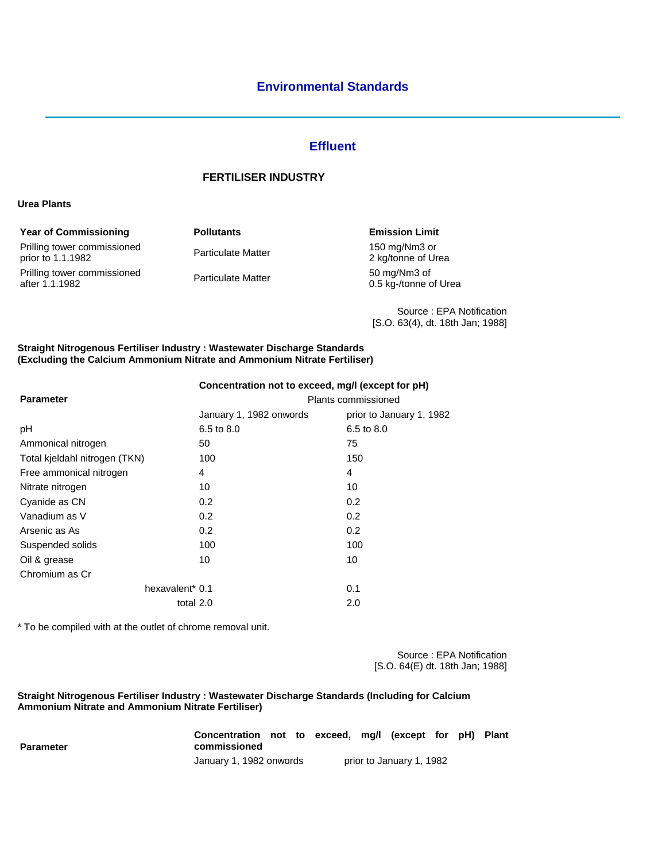# **Effluent**

## **FERTILISER INDUSTRY**

#### **Urea Plants**

| <b>Year of Commissioning</b>                     | <b>Pollutants</b>         | <b>Emission Limit</b>                 |
|--------------------------------------------------|---------------------------|---------------------------------------|
| Prilling tower commissioned<br>prior to 1.1.1982 | <b>Particulate Matter</b> | 150 mg/Nm3 or<br>2 kg/tonne of Urea   |
| Prilling tower commissioned<br>after 1.1.1982    | <b>Particulate Matter</b> | 50 mg/Nm3 of<br>0.5 kg-/tonne of Urea |

Source : EPA Notification [S.O. 63(4), dt. 18th Jan; 1988]

#### **Straight Nitrogenous Fertiliser Industry : Wastewater Discharge Standards (Excluding the Calcium Ammonium Nitrate and Ammonium Nitrate Fertiliser)**

| Concentration not to exceed, mg/l (except for pH) |                          |  |  |  |
|---------------------------------------------------|--------------------------|--|--|--|
| Plants commissioned                               |                          |  |  |  |
| January 1, 1982 onwords                           | prior to January 1, 1982 |  |  |  |
| 6.5 to 8.0                                        | 6.5 to 8.0               |  |  |  |
| 50                                                | 75                       |  |  |  |
| 100                                               | 150                      |  |  |  |
| 4                                                 | 4                        |  |  |  |
| 10                                                | 10                       |  |  |  |
| 0.2                                               | 0.2                      |  |  |  |
| 0.2                                               | 0.2                      |  |  |  |
| 0.2                                               | 0.2                      |  |  |  |
| 100                                               | 100                      |  |  |  |
| 10                                                | 10                       |  |  |  |
|                                                   |                          |  |  |  |
| hexavalent* 0.1                                   | 0.1                      |  |  |  |
| total 2.0                                         | 2.0                      |  |  |  |
|                                                   |                          |  |  |  |

\* To be compiled with at the outlet of chrome removal unit.

Source : EPA Notification [S.O. 64(E) dt. 18th Jan; 1988]

#### **Straight Nitrogenous Fertiliser Industry : Wastewater Discharge Standards (Including for Calcium Ammonium Nitrate and Ammonium Nitrate Fertiliser)**

| Parameter | Concentration not to exceed, mg/l (except for pH) Plant<br>commissioned |  |                          |  |  |
|-----------|-------------------------------------------------------------------------|--|--------------------------|--|--|
|           | January 1, 1982 onwords                                                 |  | prior to January 1, 1982 |  |  |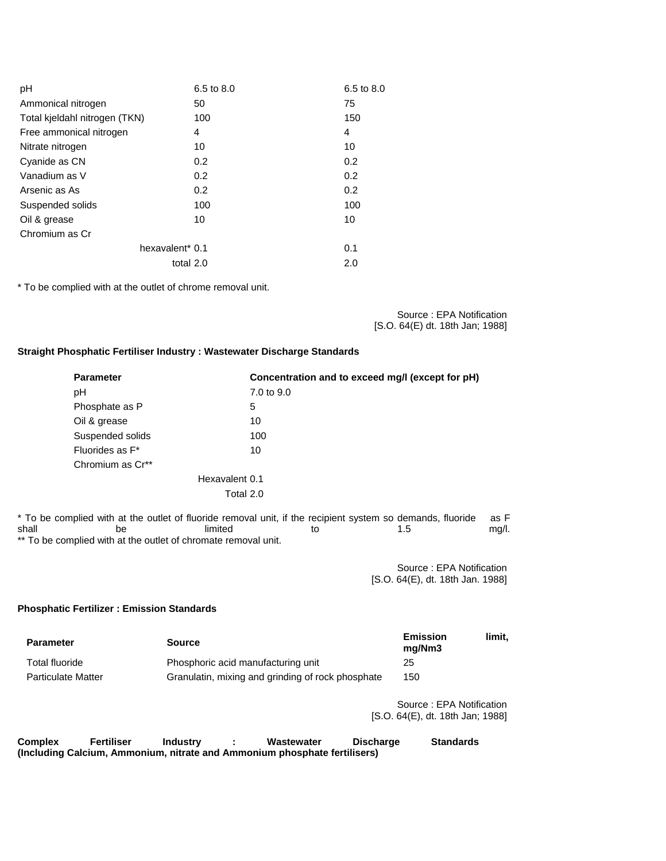| pH                            | 6.5 to 8.0    | 6.5 to 8.0    |
|-------------------------------|---------------|---------------|
| Ammonical nitrogen            | 50            | 75            |
| Total kjeldahl nitrogen (TKN) | 100           | 150           |
| Free ammonical nitrogen       | 4             | 4             |
| Nitrate nitrogen              | 10            | 10            |
| Cyanide as CN                 | $0.2^{\circ}$ | 0.2           |
| Vanadium as V                 | $0.2^{\circ}$ | $0.2^{\circ}$ |
| Arsenic as As                 | $0.2^{\circ}$ | 0.2           |
| Suspended solids              | 100           | 100           |
| Oil & grease                  | 10            | 10            |
| Chromium as Cr                |               |               |
| hexavalent <sup>*</sup> 0.1   |               | 0.1           |
|                               | total 2.0     | 2.0           |

\* To be complied with at the outlet of chrome removal unit.

Source : EPA Notification [S.O. 64(E) dt. 18th Jan; 1988]

### **Straight Phosphatic Fertiliser Industry : Wastewater Discharge Standards**

| <b>Parameter</b>             | Concentration and to exceed mg/l (except for pH) |
|------------------------------|--------------------------------------------------|
| рH                           | 7.0 to 9.0                                       |
| Phosphate as P               | 5                                                |
| Oil & grease                 | 10                                               |
| Suspended solids             | 100                                              |
| Fluorides as F <sup>*</sup>  | 10                                               |
| Chromium as Cr <sup>**</sup> |                                                  |
|                              | Hexavalent 0.1                                   |
|                              | Total 2.0                                        |
|                              |                                                  |

\* To be complied with at the outlet of fluoride removal unit, if the recipient system so demands, fluoride as F<br>shall be limited to the state of the state as F shall be be limited to to 1.5 mg/l. \*\* To be complied with at the outlet of chromate removal unit.

> Source : EPA Notification [S.O. 64(E), dt. 18th Jan. 1988]

### **Phosphatic Fertilizer : Emission Standards**

| <b>Parameter</b>          | <b>Source</b>                                     | <b>Emission</b><br>ma/Nm3 | limit. |
|---------------------------|---------------------------------------------------|---------------------------|--------|
| Total fluoride            | Phosphoric acid manufacturing unit                | 25                        |        |
| <b>Particulate Matter</b> | Granulatin, mixing and grinding of rock phosphate | 150                       |        |

Source : EPA Notification [S.O. 64(E), dt. 18th Jan; 1988]

| Complex | Fertiliser                                                                | Industry | Wastewater | <b>Discharge</b> | <b>Standards</b> |
|---------|---------------------------------------------------------------------------|----------|------------|------------------|------------------|
|         | (Including Calcium, Ammonium, nitrate and Ammonium phosphate fertilisers) |          |            |                  |                  |